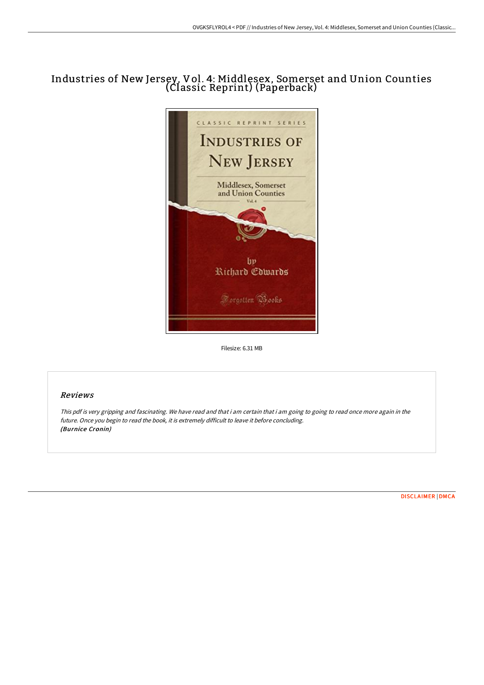# Industries of New Jersey, Vol. 4: Middlesex, Somerset and Union Counties (Classic Reprint) (Paperback)



Filesize: 6.31 MB

### Reviews

This pdf is very gripping and fascinating. We have read and that i am certain that i am going to going to read once more again in the future. Once you begin to read the book, it is extremely difficult to leave it before concluding. (Burnice Cronin)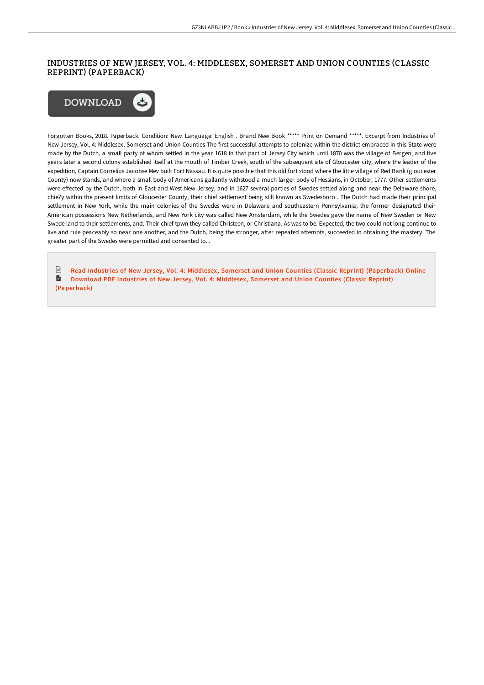### INDUSTRIES OF NEW JERSEY, VOL. 4: MIDDLESEX, SOMERSET AND UNION COUNTIES (CLASSIC REPRINT) (PAPERBACK)



Forgotten Books, 2018. Paperback. Condition: New. Language: English . Brand New Book \*\*\*\*\* Print on Demand \*\*\*\*\*. Excerpt from Industries of New Jersey, Vol. 4: Middlesex, Somerset and Union Counties The first successful attempts to colonize within the district embraced in this State were made by the Dutch, a small party of whom settled in the year 1618 in that part of Jersey City which until 1870 was the village of Bergen; and five years later a second colony established itself at the mouth of Timber Creek, south of the subsequent site of Gloucester city, where the leader of the expedition, Captain Cornelius Jacobse Mev built Fort Nassau. It is quite possible that this old fort stood where the little village of Red Bank (gloucester County) now stands, and where a small body of Americans gallantly withstood a much larger body of Hessians, in October, 1777. Other settlements were eFected by the Dutch, both in East and West New Jersey, and in 1627 several parties of Swedes settled along and near the Delaware shore, chie?y within the present limits of Gloucester County, their chief settlement being still known as Swedesboro . The Dutch had made their principal settlement in New York, while the main colonies of the Swedes were in Delaware and southeastern Pennsylvania; the former designated their American possessions New Netherlands, and New York city was called New Amsterdam, while the Swedes gave the name of New Sweden or New Swede land to their settlements, and. Their chief tpwn they called Christeen, or Christiana. As was to be. Expected, the two could not long continue to live and rule peaceably so near one another, and the Dutch, being the stronger, after repeated attempts, succeeded in obtaining the mastery. The greater part of the Swedes were permitted and consented to...

 $\frac{1}{100}$ Read Industries of New Jersey, Vol. 4: Middlesex, Somerset and Union Counties (Classic Reprint) [\(Paperback\)](http://www.bookdirs.com/industries-of-new-jersey-vol-4-middlesex-somerse.html) Online D Download PDF Industries of New Jersey, Vol. 4: Middlesex, Somerset and Union Counties (Classic Reprint) [\(Paperback\)](http://www.bookdirs.com/industries-of-new-jersey-vol-4-middlesex-somerse.html)